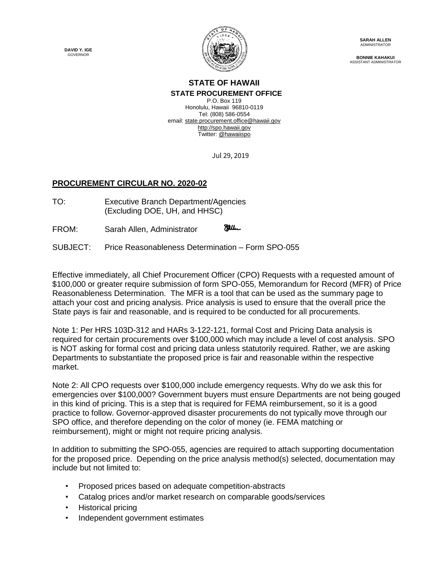**DAVID Y. IGE** GOVERNOR



**SARAH ALLEN** ADMINISTRATOR

**BONNIE KAHAKUI** ASSISTANT ADMINISTRATOR

## **STATE OF HAWAII STATE PROCUREMENT OFFICE**

P.O. Box 119 Honolulu, Hawaii 96810-0119 Tel: (808) 586-0554 email[: state.procurement.office@hawaii.gov](mailto:state.procurement.office@hawaii.gov) [http://spo.hawaii.gov](http://spo.hawaii.gov/) Twitter: [@hawaiispo](https://twitter.com/hawaiispo)

Jul 29, 2019

## **PROCUREMENT CIRCULAR NO. 2020-02**

- TO: Executive Branch Department/Agencies (Excluding DOE, UH, and HHSC)
- **Miller** FROM: Sarah Allen, Administrator
- SUBJECT: Price Reasonableness Determination Form SPO-055

Effective immediately, all Chief Procurement Officer (CPO) Requests with a requested amount of \$100,000 or greater require submission of form SPO-055, Memorandum for Record (MFR) of Price Reasonableness Determination. The MFR is a tool that can be used as the summary page to attach your cost and pricing analysis. Price analysis is used to ensure that the overall price the State pays is fair and reasonable, and is required to be conducted for all procurements.

Note 1: Per HRS 103D-312 and HARs 3-122-121, formal Cost and Pricing Data analysis is required for certain procurements over \$100,000 which may include a level of cost analysis. SPO is NOT asking for formal cost and pricing data unless statutorily required. Rather, we are asking Departments to substantiate the proposed price is fair and reasonable within the respective market.

Note 2: All CPO requests over \$100,000 include emergency requests. Why do we ask this for emergencies over \$100,000? Government buyers must ensure Departments are not being gouged in this kind of pricing. This is a step that is required for FEMA reimbursement, so it is a good practice to follow. Governor-approved disaster procurements do not typically move through our SPO office, and therefore depending on the color of money (ie. FEMA matching or reimbursement), might or might not require pricing analysis.

In addition to submitting the SPO-055, agencies are required to attach supporting documentation for the proposed price. Depending on the price analysis method(s) selected, documentation may include but not limited to:

- Proposed prices based on adequate competition-abstracts
- Catalog prices and/or market research on comparable goods/services
- Historical pricing
- Independent government estimates